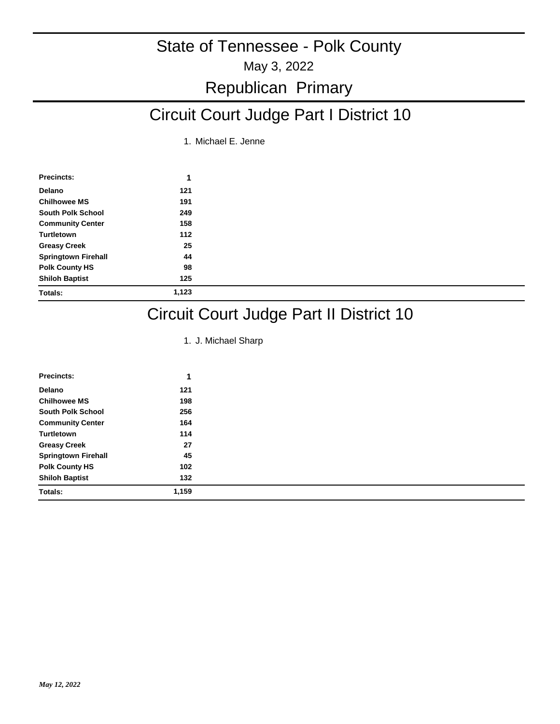### Republican Primary

# Circuit Court Judge Part I District 10

1. Michael E. Jenne

| Precincts:                 | 1     |
|----------------------------|-------|
| Delano                     | 121   |
| <b>Chilhowee MS</b>        | 191   |
| <b>South Polk School</b>   | 249   |
| <b>Community Center</b>    | 158   |
| Turtletown                 | 112   |
| <b>Greasy Creek</b>        | 25    |
| <b>Springtown Firehall</b> | 44    |
| <b>Polk County HS</b>      | 98    |
| <b>Shiloh Baptist</b>      | 125   |
| <b>Totals:</b>             | 1,123 |

### Circuit Court Judge Part II District 10

1. J. Michael Sharp

| <b>Precincts:</b>          | 1     |
|----------------------------|-------|
| Delano                     | 121   |
| <b>Chilhowee MS</b>        | 198   |
| <b>South Polk School</b>   | 256   |
| <b>Community Center</b>    | 164   |
| Turtletown                 | 114   |
| <b>Greasy Creek</b>        | 27    |
| <b>Springtown Firehall</b> | 45    |
| <b>Polk County HS</b>      | 102   |
| <b>Shiloh Baptist</b>      | 132   |
| <b>Totals:</b>             | 1,159 |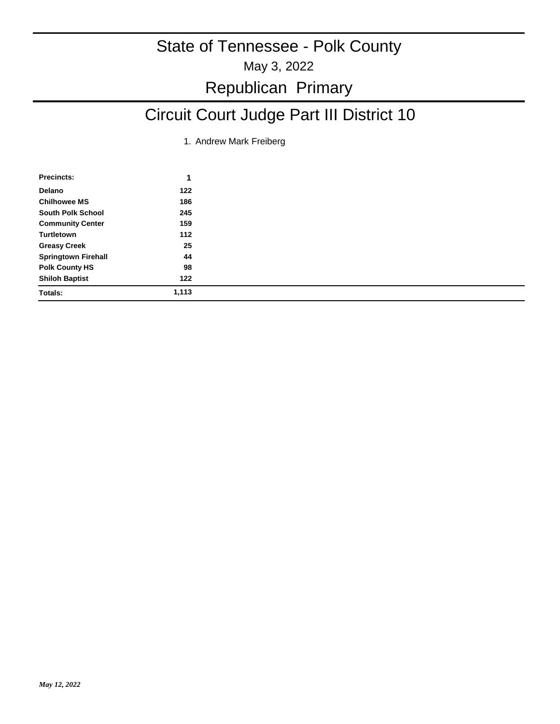# Republican Primary

# Circuit Court Judge Part III District 10

1. Andrew Mark Freiberg

| Precincts:                 |       |  |
|----------------------------|-------|--|
| Delano                     | 122   |  |
| <b>Chilhowee MS</b>        | 186   |  |
| <b>South Polk School</b>   | 245   |  |
| <b>Community Center</b>    | 159   |  |
| Turtletown                 | 112   |  |
| <b>Greasy Creek</b>        | 25    |  |
| <b>Springtown Firehall</b> | 44    |  |
| <b>Polk County HS</b>      | 98    |  |
| <b>Shiloh Baptist</b>      | 122   |  |
| Totals:                    | 1,113 |  |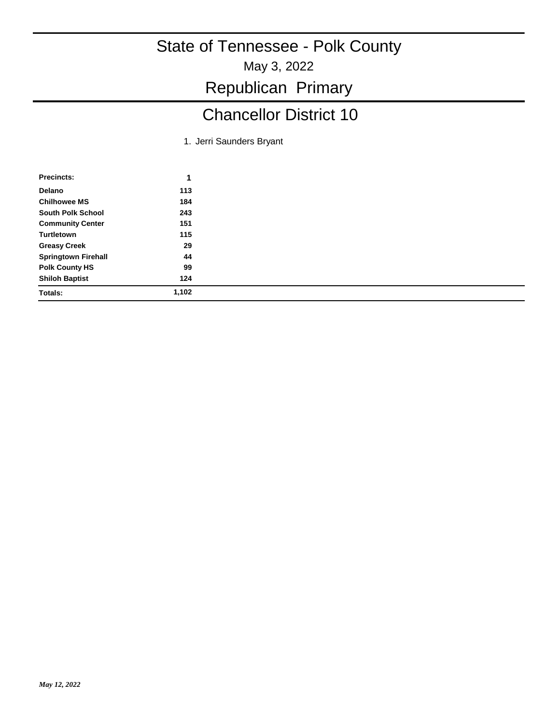May 3, 2022

Republican Primary

# Chancellor District 10

1. Jerri Saunders Bryant

| Precincts:                 | 1     |
|----------------------------|-------|
| Delano                     | 113   |
| <b>Chilhowee MS</b>        | 184   |
| <b>South Polk School</b>   | 243   |
| <b>Community Center</b>    | 151   |
| Turtletown                 | 115   |
| <b>Greasy Creek</b>        | 29    |
| <b>Springtown Firehall</b> | 44    |
| <b>Polk County HS</b>      | 99    |
| <b>Shiloh Baptist</b>      | 124   |
| Totals:                    | 1,102 |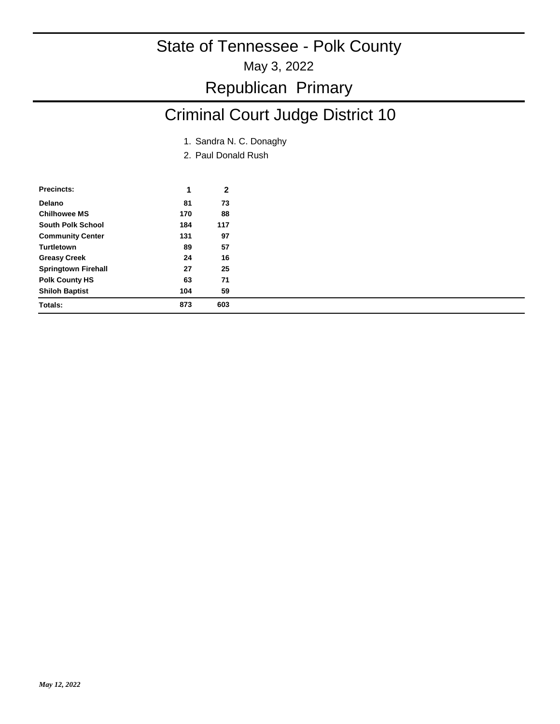#### May 3, 2022

### Republican Primary

# Criminal Court Judge District 10

- 1. Sandra N. C. Donaghy
- 2. Paul Donald Rush

| Precincts:                 | 1   | 2   |
|----------------------------|-----|-----|
| Delano                     | 81  | 73  |
| <b>Chilhowee MS</b>        | 170 | 88  |
| South Polk School          | 184 | 117 |
| <b>Community Center</b>    | 131 | 97  |
| <b>Turtletown</b>          | 89  | 57  |
| <b>Greasy Creek</b>        | 24  | 16  |
| <b>Springtown Firehall</b> | 27  | 25  |
| <b>Polk County HS</b>      | 63  | 71  |
| <b>Shiloh Baptist</b>      | 104 | 59  |
| Totals:                    | 873 | 603 |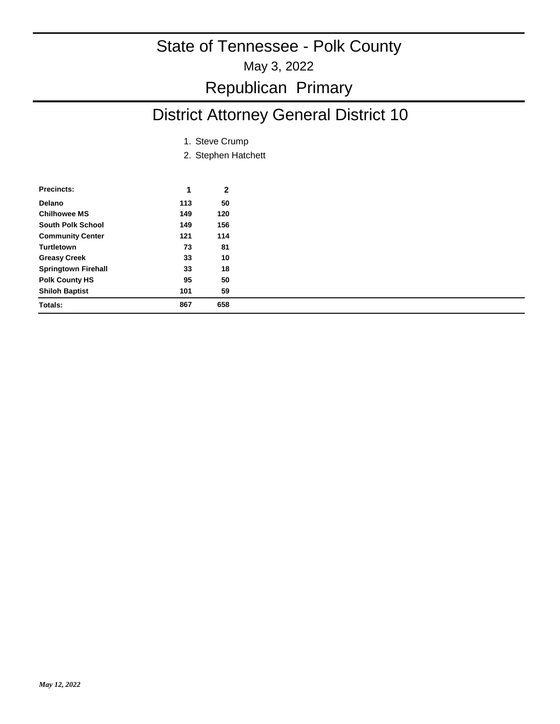May 3, 2022

### Republican Primary

# District Attorney General District 10

- 1. Steve Crump
- 2. Stephen Hatchett

| Precincts:                 | 1   | 2   |
|----------------------------|-----|-----|
| Delano                     | 113 | 50  |
| <b>Chilhowee MS</b>        | 149 | 120 |
| South Polk School          | 149 | 156 |
| <b>Community Center</b>    | 121 | 114 |
| Turtletown                 | 73  | 81  |
| <b>Greasy Creek</b>        | 33  | 10  |
| <b>Springtown Firehall</b> | 33  | 18  |
| <b>Polk County HS</b>      | 95  | 50  |
| <b>Shiloh Baptist</b>      | 101 | 59  |
| Totals:                    | 867 | 658 |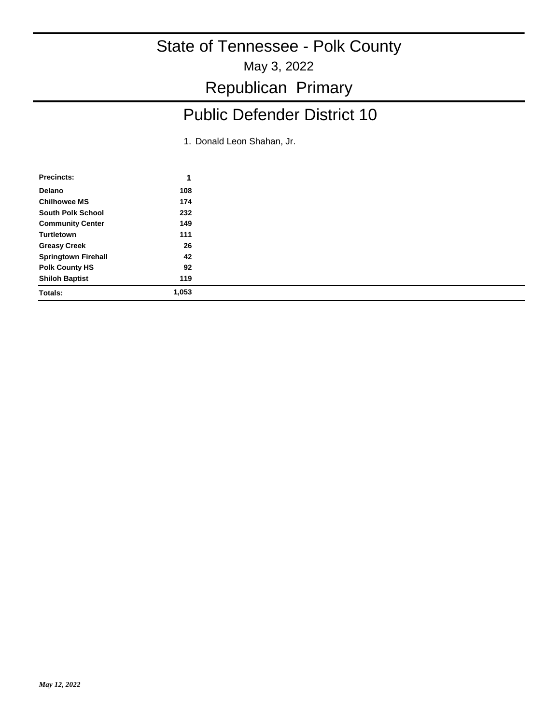May 3, 2022

Republican Primary

# Public Defender District 10

1. Donald Leon Shahan, Jr.

| Precincts:                 |       |  |
|----------------------------|-------|--|
| Delano                     | 108   |  |
| <b>Chilhowee MS</b>        | 174   |  |
| <b>South Polk School</b>   | 232   |  |
| <b>Community Center</b>    | 149   |  |
| Turtletown                 | 111   |  |
| <b>Greasy Creek</b>        | 26    |  |
| <b>Springtown Firehall</b> | 42    |  |
| <b>Polk County HS</b>      | 92    |  |
| <b>Shiloh Baptist</b>      | 119   |  |
| <b>Totals:</b>             | 1,053 |  |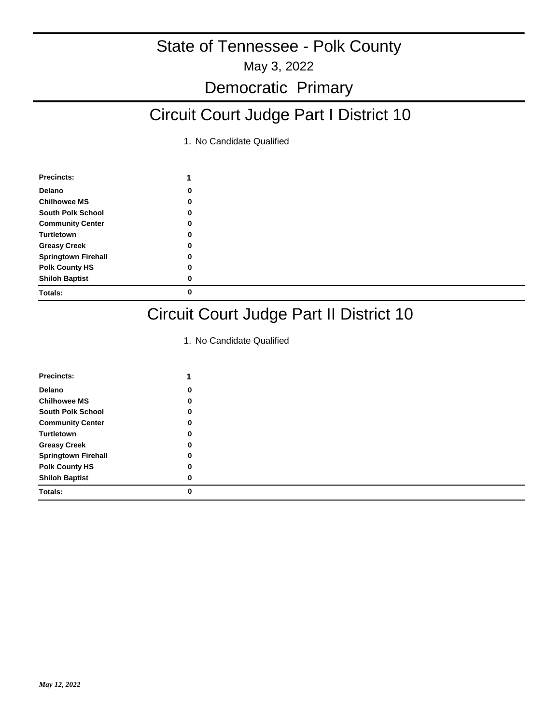May 3, 2022

#### Democratic Primary

# Circuit Court Judge Part I District 10

1. No Candidate Qualified

| Precincts:                 |   |
|----------------------------|---|
| Delano                     | 0 |
| <b>Chilhowee MS</b>        |   |
| <b>South Polk School</b>   | 0 |
| <b>Community Center</b>    | 0 |
| Turtletown                 | 0 |
| <b>Greasy Creek</b>        |   |
| <b>Springtown Firehall</b> |   |
| <b>Polk County HS</b>      |   |
| <b>Shiloh Baptist</b>      | 0 |
| Totals:                    | 0 |

### Circuit Court Judge Part II District 10

| <b>Precincts:</b>          |   |
|----------------------------|---|
| Delano                     | 0 |
| <b>Chilhowee MS</b>        | 0 |
| <b>South Polk School</b>   | 0 |
| <b>Community Center</b>    | 0 |
| Turtletown                 | 0 |
| <b>Greasy Creek</b>        | 0 |
| <b>Springtown Firehall</b> | 0 |
| <b>Polk County HS</b>      | 0 |
| <b>Shiloh Baptist</b>      | 0 |
| <b>Totals:</b>             | 0 |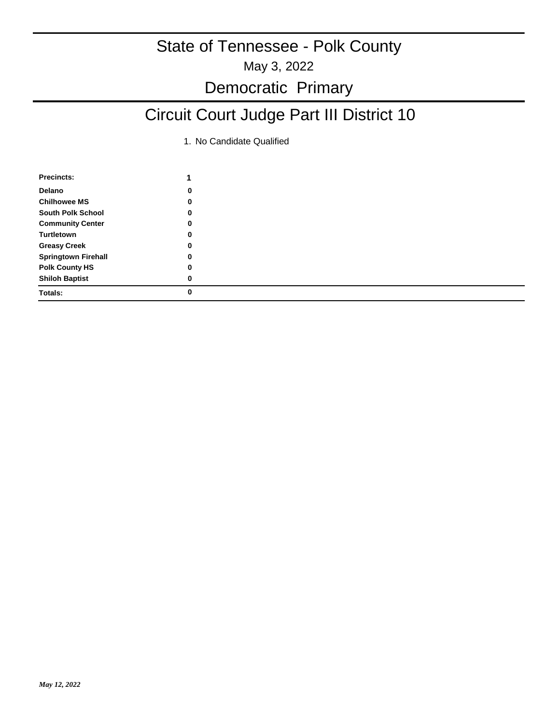### Democratic Primary

# Circuit Court Judge Part III District 10

| <b>Precincts:</b>          |   |  |
|----------------------------|---|--|
| Delano                     | 0 |  |
| <b>Chilhowee MS</b>        | 0 |  |
| <b>South Polk School</b>   | 0 |  |
| <b>Community Center</b>    | 0 |  |
| Turtletown                 | 0 |  |
| <b>Greasy Creek</b>        | 0 |  |
| <b>Springtown Firehall</b> | 0 |  |
| <b>Polk County HS</b>      | 0 |  |
| <b>Shiloh Baptist</b>      | 0 |  |
| <b>Totals:</b>             | 0 |  |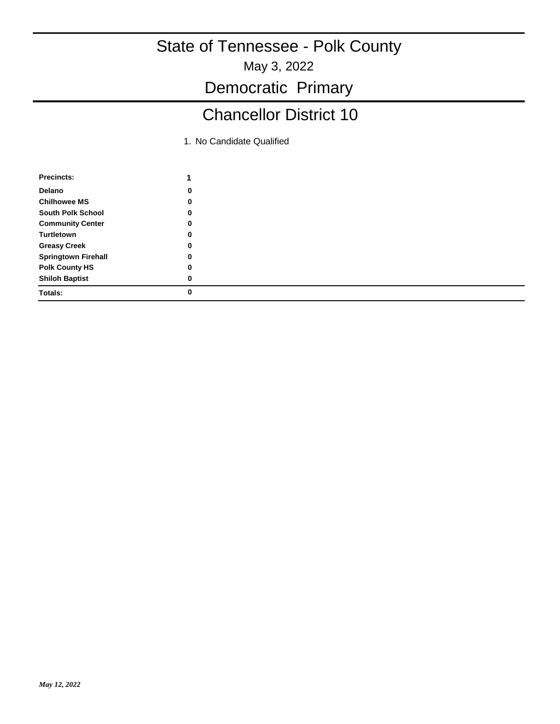May 3, 2022

Democratic Primary

# Chancellor District 10

| <b>Precincts:</b>          | 1 |  |
|----------------------------|---|--|
| Delano                     | 0 |  |
| <b>Chilhowee MS</b>        | 0 |  |
| <b>South Polk School</b>   | 0 |  |
| <b>Community Center</b>    | 0 |  |
| Turtletown                 | 0 |  |
| <b>Greasy Creek</b>        | 0 |  |
| <b>Springtown Firehall</b> | 0 |  |
| <b>Polk County HS</b>      | 0 |  |
| <b>Shiloh Baptist</b>      | 0 |  |
| Totals:                    | 0 |  |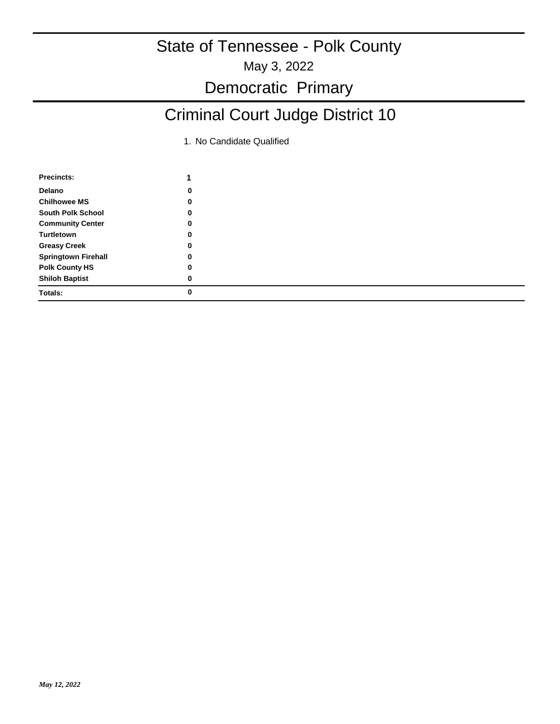May 3, 2022

### Democratic Primary

# Criminal Court Judge District 10

| <b>Precincts:</b>          |   |
|----------------------------|---|
| <b>Delano</b>              | 0 |
| <b>Chilhowee MS</b>        | 0 |
| <b>South Polk School</b>   | 0 |
| <b>Community Center</b>    | 0 |
| Turtletown                 | 0 |
| <b>Greasy Creek</b>        | 0 |
| <b>Springtown Firehall</b> | 0 |
| <b>Polk County HS</b>      | 0 |
| <b>Shiloh Baptist</b>      | 0 |
| <b>Totals:</b>             | 0 |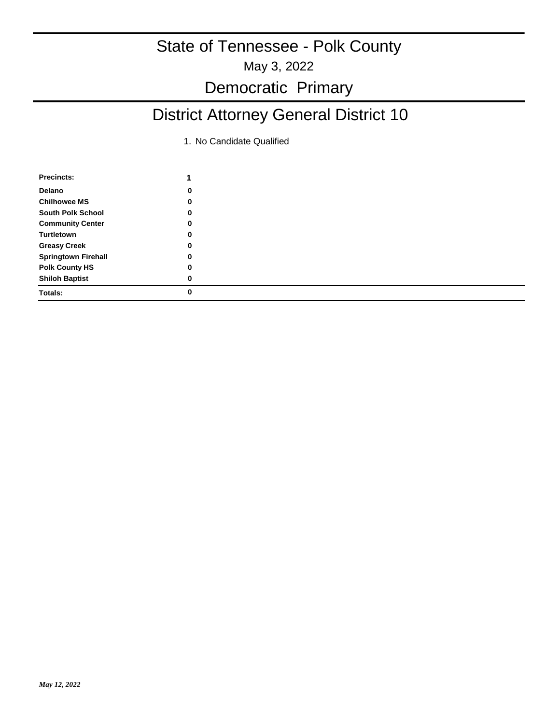May 3, 2022

### Democratic Primary

# District Attorney General District 10

| Precincts:                 |          |  |
|----------------------------|----------|--|
| Delano                     | 0        |  |
| <b>Chilhowee MS</b>        | 0        |  |
| <b>South Polk School</b>   | 0        |  |
| <b>Community Center</b>    | 0        |  |
| Turtletown                 | $\bf{0}$ |  |
| <b>Greasy Creek</b>        | 0        |  |
| <b>Springtown Firehall</b> | 0        |  |
| <b>Polk County HS</b>      | 0        |  |
| <b>Shiloh Baptist</b>      | 0        |  |
| <b>Totals:</b>             | 0        |  |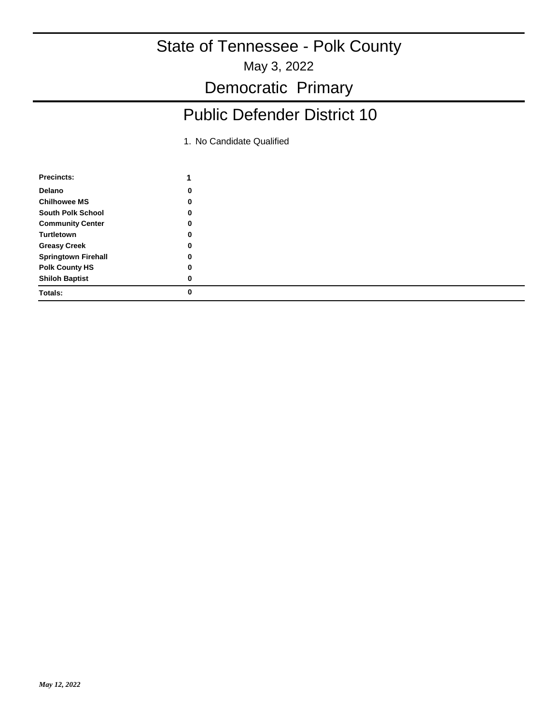May 3, 2022

Democratic Primary

# Public Defender District 10

| 0 |  |
|---|--|
| 0 |  |
| 0 |  |
| 0 |  |
| 0 |  |
| 0 |  |
| 0 |  |
| 0 |  |
| 0 |  |
| 0 |  |
|   |  |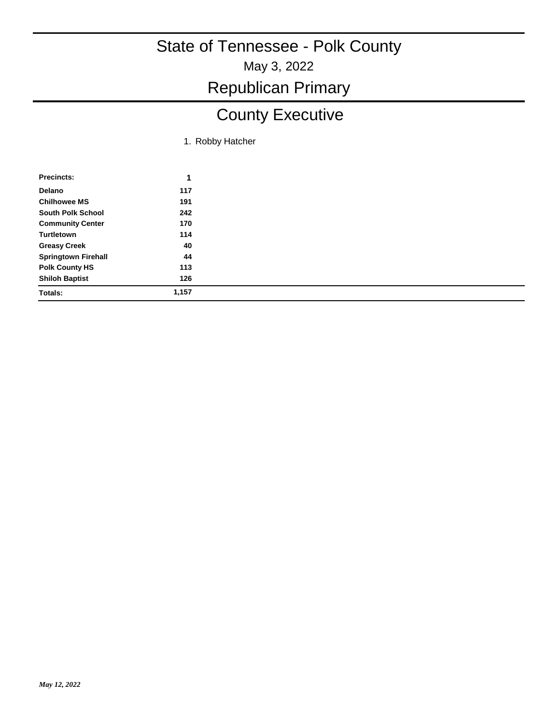# Republican Primary

# County Executive

1. Robby Hatcher

| Precincts:                 | 1     |
|----------------------------|-------|
| <b>Delano</b>              | 117   |
| <b>Chilhowee MS</b>        | 191   |
| <b>South Polk School</b>   | 242   |
| <b>Community Center</b>    | 170   |
| Turtletown                 | 114   |
| <b>Greasy Creek</b>        | 40    |
| <b>Springtown Firehall</b> | 44    |
| <b>Polk County HS</b>      | 113   |
| <b>Shiloh Baptist</b>      | 126   |
| <b>Totals:</b>             | 1,157 |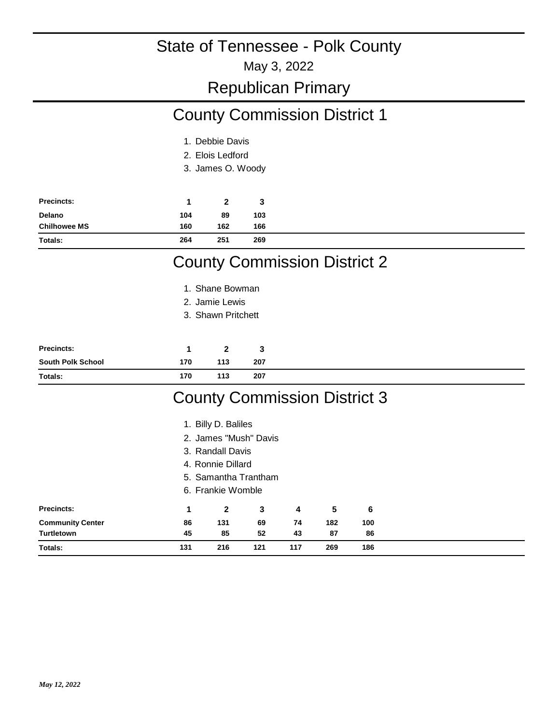May 3, 2022

#### Republican Primary

# County Commission District 1

- 1. Debbie Davis
- 2. Elois Ledford
- 3. James O. Woody

| <b>Precincts:</b>   |     | $\mathbf{2}$ | 3   |
|---------------------|-----|--------------|-----|
| Delano              | 104 | 89           | 103 |
| <b>Chilhowee MS</b> | 160 | 162          | 166 |
| Totals:             | 264 | 251          | 269 |

### County Commission District 2

- 1. Shane Bowman
- 2. Jamie Lewis
- Shawn Pritchett 3.

| Precincts:               |     |     | ٠J  |
|--------------------------|-----|-----|-----|
| <b>South Polk School</b> | 170 | 113 | 207 |
| Totals:                  | 170 | 113 | 207 |

### County Commission District 3

|                         |     | 1. Billy D. Baliles   |     |     |     |     |  |
|-------------------------|-----|-----------------------|-----|-----|-----|-----|--|
|                         |     | 2. James "Mush" Davis |     |     |     |     |  |
|                         |     | 3. Randall Davis      |     |     |     |     |  |
|                         |     | 4. Ronnie Dillard     |     |     |     |     |  |
|                         |     | 5. Samantha Trantham  |     |     |     |     |  |
|                         |     | 6. Frankie Womble     |     |     |     |     |  |
| <b>Precincts:</b>       | 1   | $\overline{2}$        | 3   | 4   | 5   | 6   |  |
| <b>Community Center</b> | 86  | 131                   | 69  | 74  | 182 | 100 |  |
| <b>Turtletown</b>       | 45  | 85                    | 52  | 43  | 87  | 86  |  |
| <b>Totals:</b>          | 131 | 216                   | 121 | 117 | 269 | 186 |  |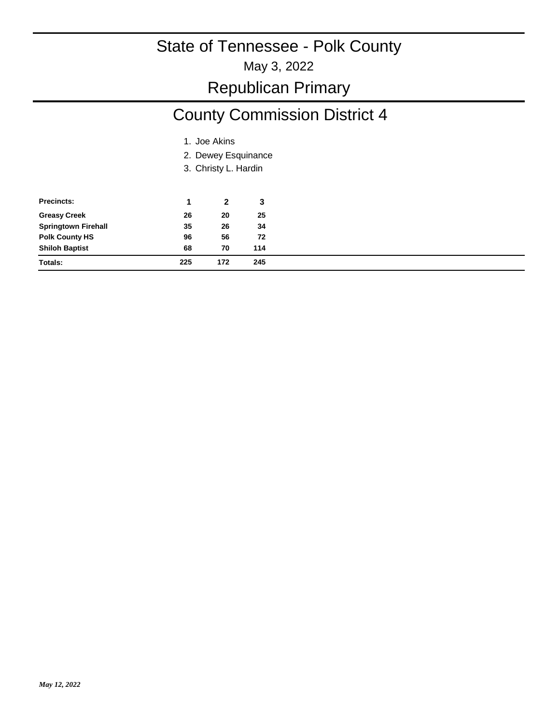May 3, 2022

### Republican Primary

# County Commission District 4

- 1. Joe Akins
- 2. Dewey Esquinance
- 3. Christy L. Hardin

| <b>Precincts:</b>          |     | 2   | 3   |
|----------------------------|-----|-----|-----|
| <b>Greasy Creek</b>        | 26  | 20  | 25  |
| <b>Springtown Firehall</b> | 35  | 26  | 34  |
| <b>Polk County HS</b>      | 96  | 56  | 72  |
| <b>Shiloh Baptist</b>      | 68  | 70  | 114 |
| Totals:                    | 225 | 172 | 245 |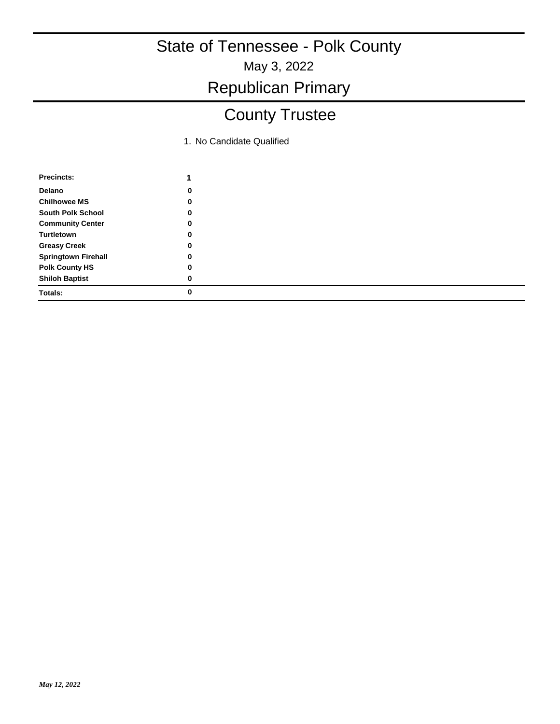# Republican Primary

# County Trustee

| Precincts:                 |   |
|----------------------------|---|
| Delano                     | 0 |
| <b>Chilhowee MS</b>        | 0 |
| <b>South Polk School</b>   | 0 |
| <b>Community Center</b>    | 0 |
| Turtletown                 | 0 |
| <b>Greasy Creek</b>        | 0 |
| <b>Springtown Firehall</b> | 0 |
| <b>Polk County HS</b>      | 0 |
| <b>Shiloh Baptist</b>      | 0 |
| Totals:                    | Ω |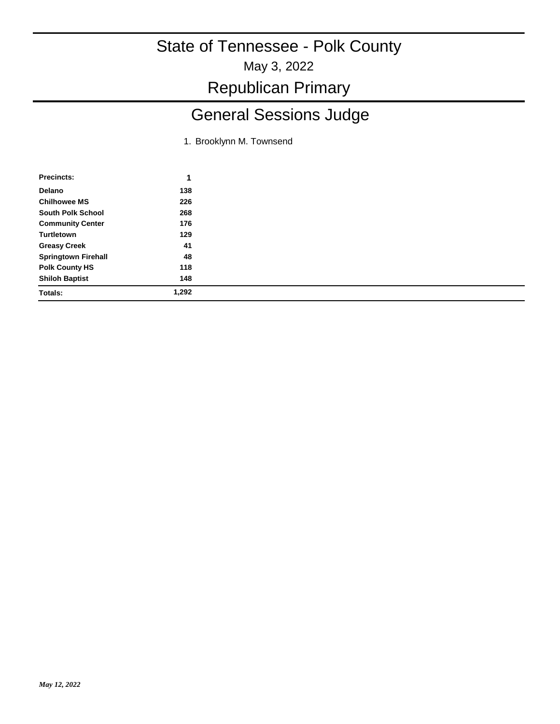May 3, 2022

Republican Primary

# General Sessions Judge

1. Brooklynn M. Townsend

| Precincts:                 | ٠     |  |
|----------------------------|-------|--|
| Delano                     | 138   |  |
| <b>Chilhowee MS</b>        | 226   |  |
| <b>South Polk School</b>   | 268   |  |
| <b>Community Center</b>    | 176   |  |
| Turtletown                 | 129   |  |
| <b>Greasy Creek</b>        | 41    |  |
| <b>Springtown Firehall</b> | 48    |  |
| <b>Polk County HS</b>      | 118   |  |
| <b>Shiloh Baptist</b>      | 148   |  |
| <b>Totals:</b>             | 1,292 |  |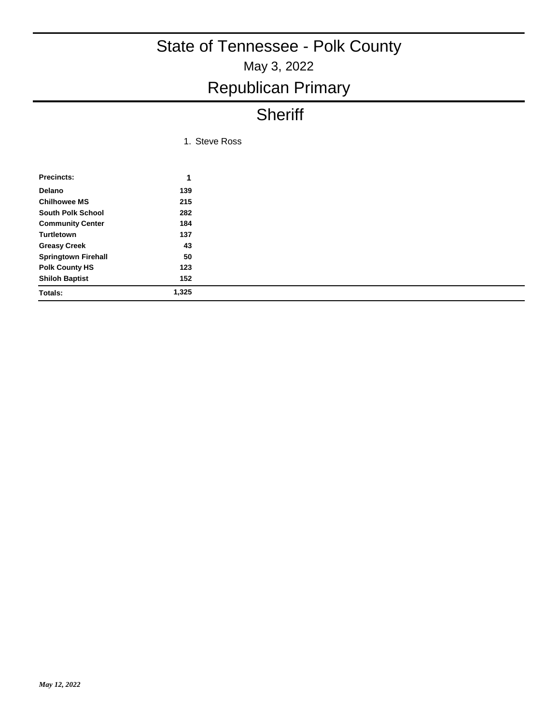# May 3, 2022 State of Tennessee - Polk County Republican Primary

# **Sheriff**

| 1. Steve Ross |  |
|---------------|--|
|               |  |

| <b>Precincts:</b>          | 1     |
|----------------------------|-------|
| Delano                     | 139   |
| <b>Chilhowee MS</b>        | 215   |
| <b>South Polk School</b>   | 282   |
| <b>Community Center</b>    | 184   |
| <b>Turtletown</b>          | 137   |
| <b>Greasy Creek</b>        | 43    |
| <b>Springtown Firehall</b> | 50    |
| <b>Polk County HS</b>      | 123   |
| <b>Shiloh Baptist</b>      | 152   |
| Totals:                    | 1,325 |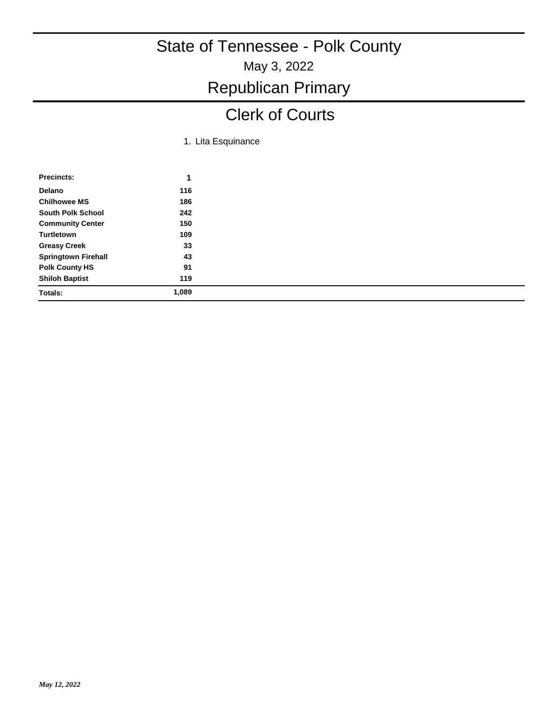# May 3, 2022 State of Tennessee - Polk County Republican Primary

### Clerk of Courts

1. Lita Esquinance

| <b>Precincts:</b>          | 1     |
|----------------------------|-------|
| Delano                     | 116   |
| <b>Chilhowee MS</b>        | 186   |
| <b>South Polk School</b>   | 242   |
| <b>Community Center</b>    | 150   |
| Turtletown                 | 109   |
| <b>Greasy Creek</b>        | 33    |
| <b>Springtown Firehall</b> | 43    |
| <b>Polk County HS</b>      | 91    |
| <b>Shiloh Baptist</b>      | 119   |
| Totals:                    | 1,089 |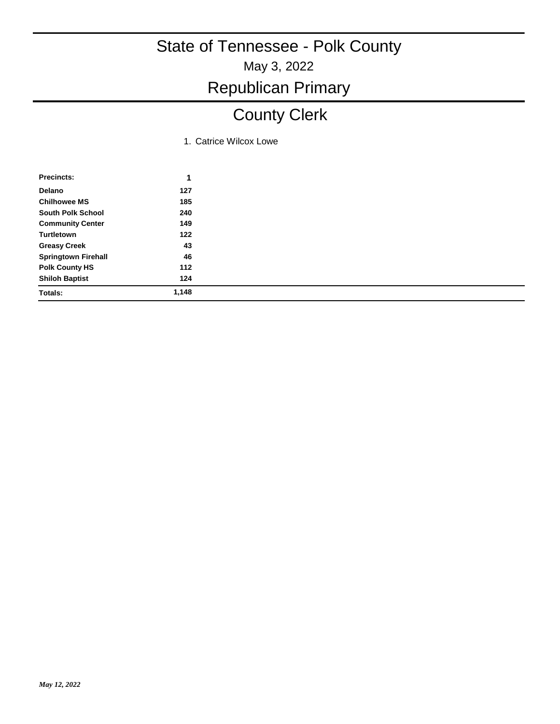# Republican Primary

# County Clerk

1. Catrice Wilcox Lowe

| <b>Precincts:</b>          | 1     |
|----------------------------|-------|
| Delano                     | 127   |
| <b>Chilhowee MS</b>        | 185   |
| <b>South Polk School</b>   | 240   |
| <b>Community Center</b>    | 149   |
| Turtletown                 | 122   |
| <b>Greasy Creek</b>        | 43    |
| <b>Springtown Firehall</b> | 46    |
| <b>Polk County HS</b>      | 112   |
| <b>Shiloh Baptist</b>      | 124   |
| <b>Totals:</b>             | 1,148 |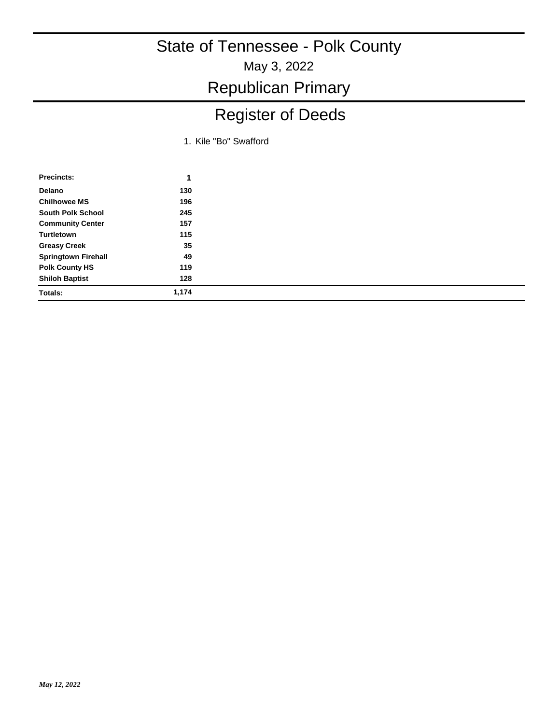Republican Primary

# Register of Deeds

1. Kile "Bo" Swafford

| Precincts:                 | 1     |
|----------------------------|-------|
| Delano                     | 130   |
| <b>Chilhowee MS</b>        | 196   |
| <b>South Polk School</b>   | 245   |
| <b>Community Center</b>    | 157   |
| Turtletown                 | 115   |
| <b>Greasy Creek</b>        | 35    |
| <b>Springtown Firehall</b> | 49    |
| <b>Polk County HS</b>      | 119   |
| <b>Shiloh Baptist</b>      | 128   |
| Totals:                    | 1,174 |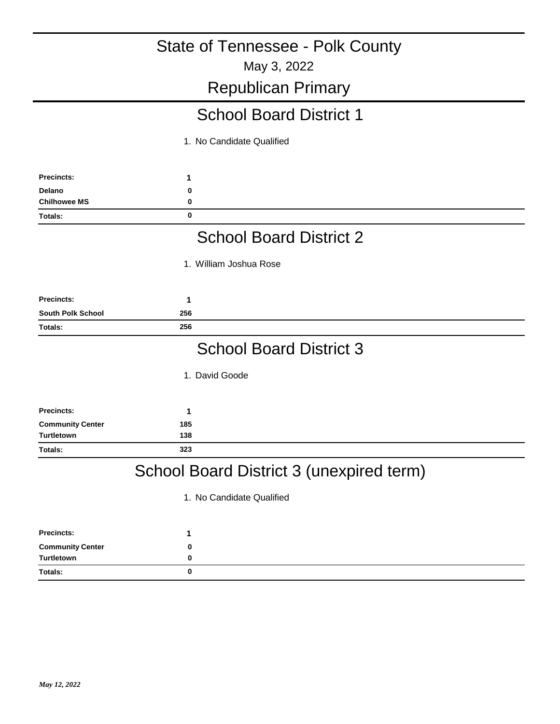### May 3, 2022 State of Tennessee - Polk County Republican Primary **1** School Board District 1 1. No Candidate Qualified **Precincts: Delano 0 Chilhowee MS 0 Totals: 0 1** School Board District 2 1. William Joshua Rose **Precincts: South Polk School 256 Totals: 256 1** School Board District 3 1. David Goode **Precincts: Community Center 185 Turtletown 138 Totals: 323** School Board District 3 (unexpired term) 1. No Candidate Qualified

| <b>Precincts:</b>       |  |
|-------------------------|--|
| <b>Community Center</b> |  |
| Turtletown              |  |
| Totals:                 |  |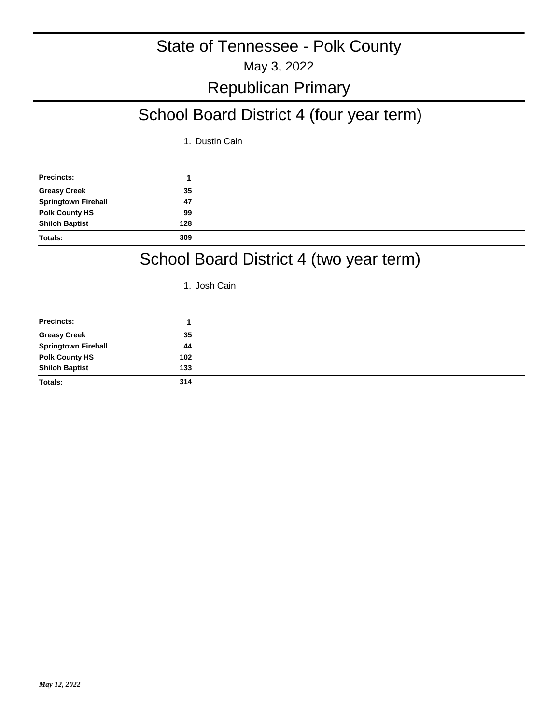# Republican Primary

# School Board District 4 (four year term)

1. Dustin Cain

| <b>Precincts:</b>          |     |  |
|----------------------------|-----|--|
| <b>Greasy Creek</b>        | 35  |  |
| <b>Springtown Firehall</b> | 47  |  |
| <b>Polk County HS</b>      | 99  |  |
| <b>Shiloh Baptist</b>      | 128 |  |
| <b>Totals:</b>             | 309 |  |

### School Board District 4 (two year term)

1. Josh Cain

| <b>Precincts:</b>          |     |
|----------------------------|-----|
| <b>Greasy Creek</b>        | 35  |
| <b>Springtown Firehall</b> | 44  |
| <b>Polk County HS</b>      | 102 |
| <b>Shiloh Baptist</b>      | 133 |
| <b>Totals:</b>             | 314 |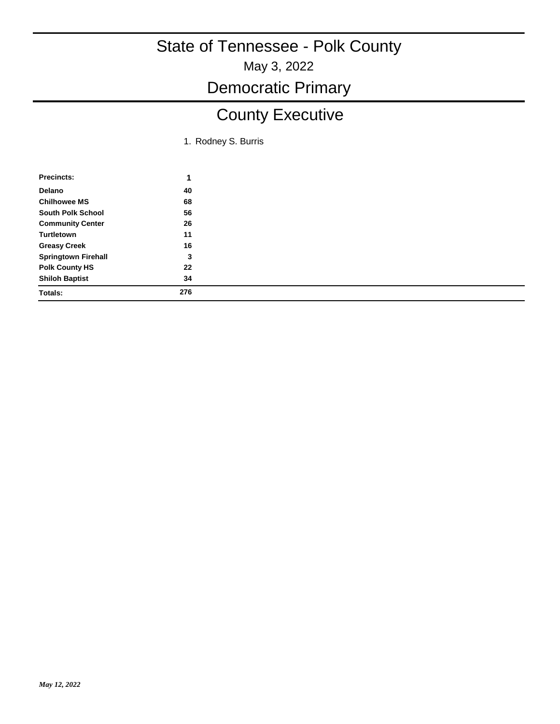May 3, 2022

### Democratic Primary

# County Executive

1. Rodney S. Burris

| Precincts:                 |     |
|----------------------------|-----|
| Delano                     | 40  |
| <b>Chilhowee MS</b>        | 68  |
| <b>South Polk School</b>   | 56  |
| <b>Community Center</b>    | 26  |
| Turtletown                 | 11  |
| <b>Greasy Creek</b>        | 16  |
| <b>Springtown Firehall</b> | 3   |
| <b>Polk County HS</b>      | 22  |
| <b>Shiloh Baptist</b>      | 34  |
| <b>Totals:</b>             | 276 |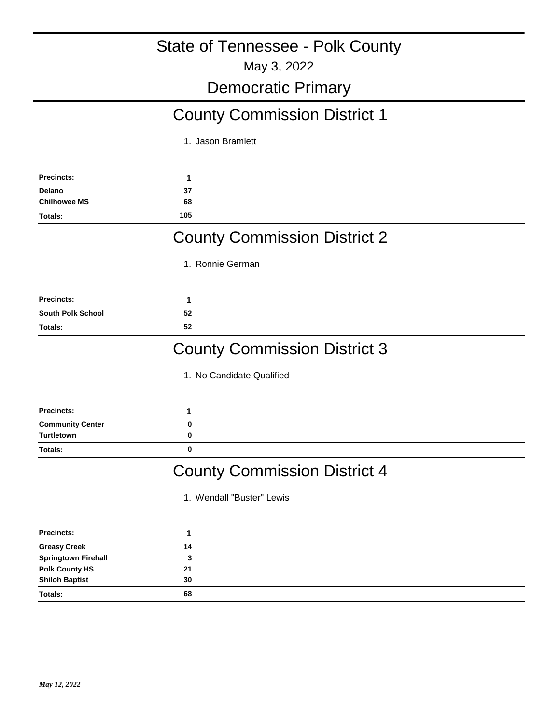May 3, 2022

### Democratic Primary

# County Commission District 1

1. Jason Bramlett

| <b>Precincts:</b>              | 1                                   |
|--------------------------------|-------------------------------------|
| Delano                         | 37                                  |
| <b>Chilhowee MS</b><br>Totals: | 68<br>105                           |
|                                |                                     |
|                                | <b>County Commission District 2</b> |
|                                | 1. Ronnie German                    |
| <b>Precincts:</b>              | 1                                   |
| <b>South Polk School</b>       | 52                                  |
| Totals:                        | 52                                  |
|                                | <b>County Commission District 3</b> |
|                                | 1. No Candidate Qualified           |
| <b>Precincts:</b>              | 1                                   |
| <b>Community Center</b>        | 0                                   |
| <b>Turtletown</b>              | 0                                   |
| Totals:                        | $\mathbf 0$                         |
|                                | <b>County Commission District 4</b> |
|                                | 1. Wendall "Buster" Lewis           |
| <b>Precincts:</b>              | 1                                   |
| <b>Greasy Creek</b>            | 14                                  |
| <b>Springtown Firehall</b>     | 3                                   |
| <b>Polk County HS</b>          | 21                                  |
| <b>Shiloh Baptist</b>          | 30                                  |
| Totals:                        | 68                                  |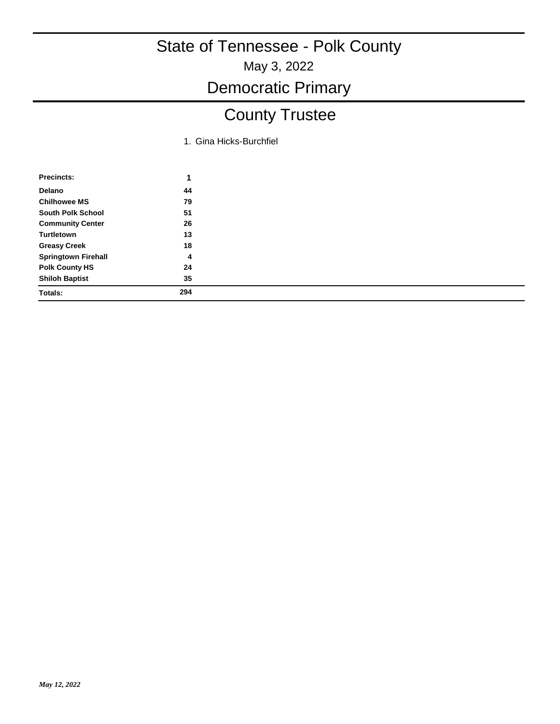May 3, 2022

### Democratic Primary

# County Trustee

1. Gina Hicks-Burchfiel

| <b>Precincts:</b>          | 1   |
|----------------------------|-----|
| Delano                     | 44  |
| <b>Chilhowee MS</b>        | 79  |
| <b>South Polk School</b>   | 51  |
| <b>Community Center</b>    | 26  |
| Turtletown                 | 13  |
| <b>Greasy Creek</b>        | 18  |
| <b>Springtown Firehall</b> | 4   |
| <b>Polk County HS</b>      | 24  |
| <b>Shiloh Baptist</b>      | 35  |
| <b>Totals:</b>             | 294 |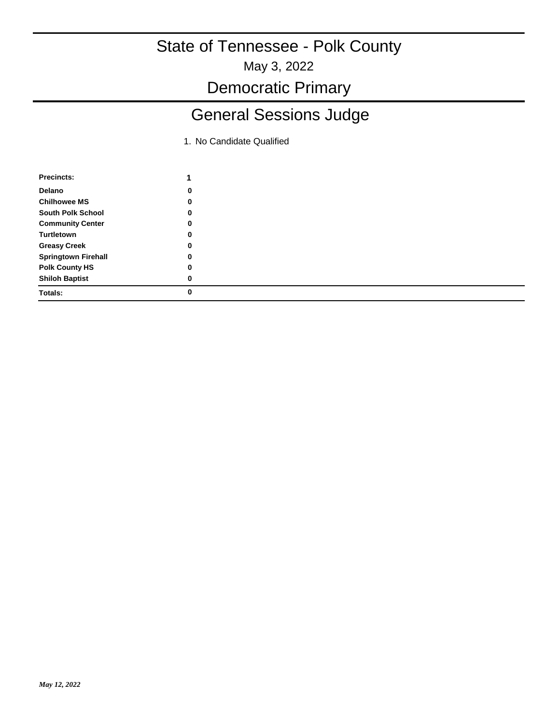May 3, 2022

Democratic Primary

# General Sessions Judge

| <b>Precincts:</b>          |   |
|----------------------------|---|
| <b>Delano</b>              | 0 |
| <b>Chilhowee MS</b>        | 0 |
| <b>South Polk School</b>   | 0 |
| <b>Community Center</b>    | 0 |
| Turtletown                 | 0 |
| <b>Greasy Creek</b>        | 0 |
| <b>Springtown Firehall</b> | 0 |
| <b>Polk County HS</b>      | 0 |
| <b>Shiloh Baptist</b>      | 0 |
| Totals:                    | 0 |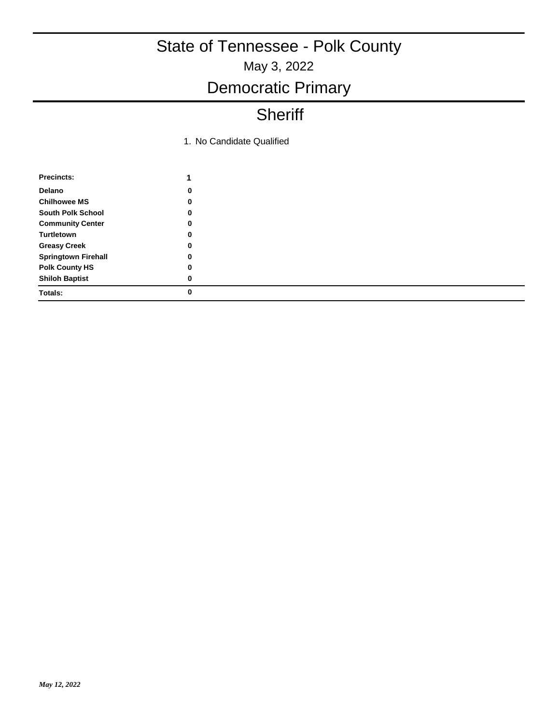### Democratic Primary

### **Sheriff**

| Precincts:                 | 1 |
|----------------------------|---|
| Delano                     | 0 |
| <b>Chilhowee MS</b>        | 0 |
| South Polk School          | 0 |
| <b>Community Center</b>    | 0 |
| <b>Turtletown</b>          | 0 |
| <b>Greasy Creek</b>        | 0 |
| <b>Springtown Firehall</b> | 0 |
| <b>Polk County HS</b>      | 0 |
| <b>Shiloh Baptist</b>      | 0 |
| Totals:                    |   |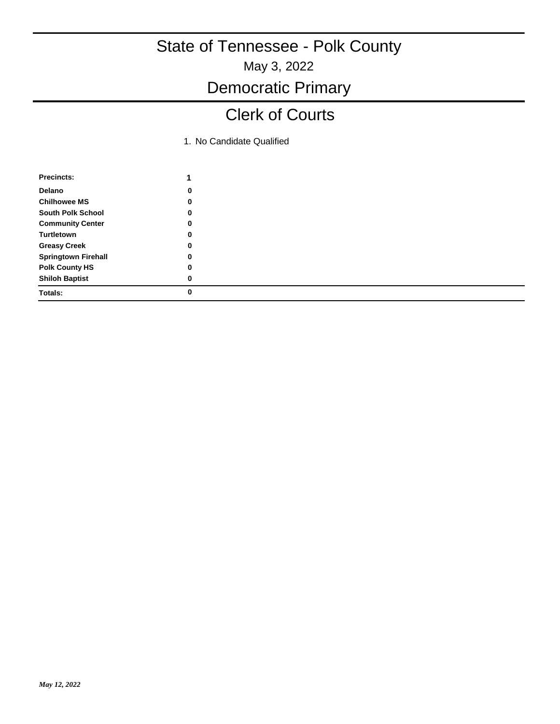May 3, 2022

### Democratic Primary

### Clerk of Courts

| Precincts:                 | 1 |
|----------------------------|---|
| Delano                     | 0 |
| <b>Chilhowee MS</b>        | 0 |
| South Polk School          | 0 |
| <b>Community Center</b>    | 0 |
| Turtletown                 | 0 |
| <b>Greasy Creek</b>        | 0 |
| <b>Springtown Firehall</b> | 0 |
| <b>Polk County HS</b>      | 0 |
| <b>Shiloh Baptist</b>      | 0 |
| Totals:                    |   |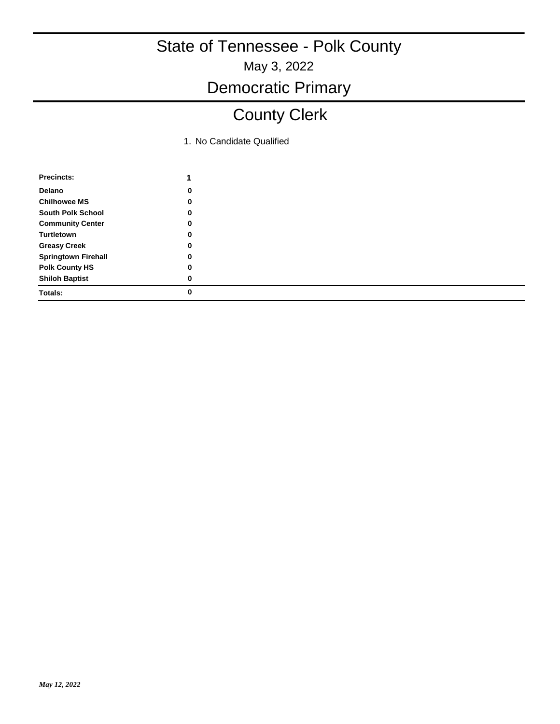May 3, 2022

# Democratic Primary

# County Clerk

| Precincts:                 |   |
|----------------------------|---|
| Delano                     | 0 |
| <b>Chilhowee MS</b>        | 0 |
| South Polk School          | 0 |
| <b>Community Center</b>    | 0 |
| Turtletown                 | 0 |
| <b>Greasy Creek</b>        | 0 |
| <b>Springtown Firehall</b> | 0 |
| <b>Polk County HS</b>      | 0 |
| <b>Shiloh Baptist</b>      | 0 |
| Totals:                    |   |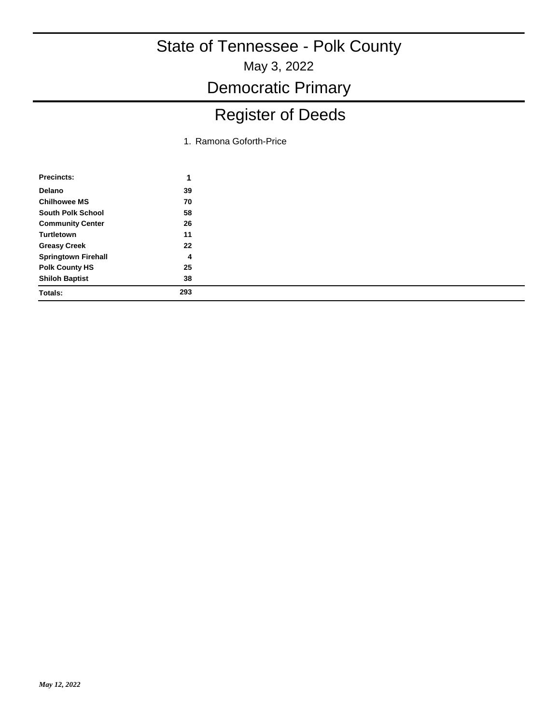May 3, 2022

Democratic Primary

# Register of Deeds

1. Ramona Goforth-Price

| Precincts:                 | 1   |
|----------------------------|-----|
| Delano                     | 39  |
| <b>Chilhowee MS</b>        | 70  |
| <b>South Polk School</b>   | 58  |
| <b>Community Center</b>    | 26  |
| Turtletown                 | 11  |
| <b>Greasy Creek</b>        | 22  |
| <b>Springtown Firehall</b> | 4   |
| <b>Polk County HS</b>      | 25  |
| <b>Shiloh Baptist</b>      | 38  |
| Totals:                    | 293 |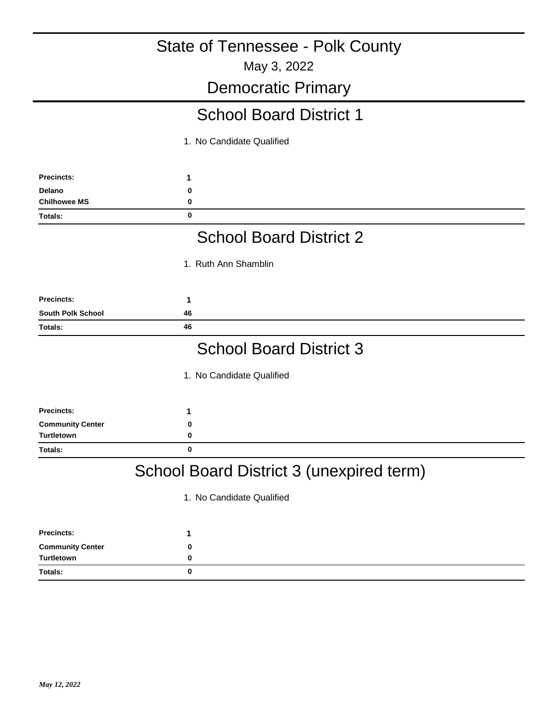### May 3, 2022 State of Tennessee - Polk County Democratic Primary **1** School Board District 1 1. No Candidate Qualified **Precincts: Delano 0 Chilhowee MS 0 Totals: 0 1** School Board District 2 1. Ruth Ann Shamblin **Precincts: South Polk School 46 Totals: 46 1** School Board District 3 1. No Candidate Qualified **Precincts: Community Center 0 Turtletown 0 Totals: 0** School Board District 3 (unexpired term) 1. No Candidate Qualified

| <b>Precincts:</b>       |  |
|-------------------------|--|
| <b>Community Center</b> |  |
| Turtletown              |  |
| <b>Totals:</b>          |  |